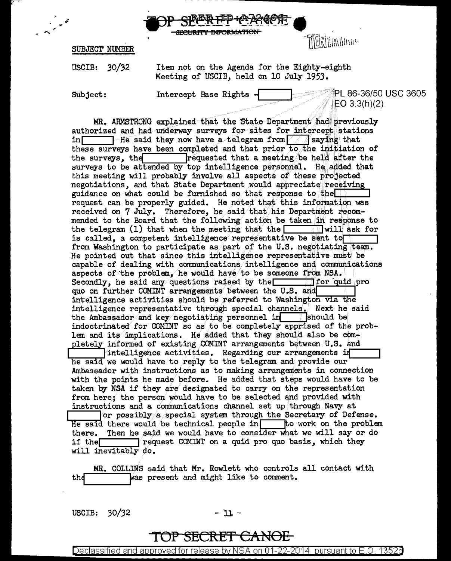



SUBJECT NUMBER

 $30/32$ Item not on the Agenda for the Eighty-eighth USCIB: Meeting of USCIB, held on 10 July 1953.

Subject:

Intercept Base Rights

PL 86-36/50 USC 3605  $EO 3.3(h)(2)$ 

MR. ARMSTRONG explained that the State Department had previously authorized and had underway surveys for sites for intercept stations in  $\Box$  He said they now have a telegram from  $\Box$  saying that these surveys have been completed and that prior to the initiation of the surveys, the requested that a meeting be held after the surveys to be attended by top intelligence personnel. He added that this meeting will probably involve all aspects of these projected negotiations, and that State Department would appreciate receiving guidance on what could be furnished so that response to the request can be properly guided. He noted that this information was received on 7 July. Therefore, he said that his Department recommended to the Board that the following action be taken in response to the telegram (1) that when the meeting that the  $\Box$  will ask for is called, a competent intelligence representative be sent to from Washington to participate as part of the U.S. negotiating team. He pointed out that since this intelligence representative must be capable of dealing with communications intelligence and communications aspects of the problem, he would have to be someone from NSA. Secondly, he said any questions raised by the  $\Box$ for quid pro quo on further COMINT arrangements between the U.S. and intelligence activities should be referred to Washington via the intelligence representative through special channels. Next he said the Ambassador and key negotiating personnel in should be indoctrinated for COMINT so as to be completely apprised of the problem and its implications. He added that they should also be completely informed of existing COMINT arrangements between U.S. and intelligence activities. Regarding our arrangements in he said we would have to reply to the telegram and provide our Ambassador with instructions as to making arrangements in connection with the points he made before. He added that steps would have to be taken by NSA if they are designated to carry on the representation from here; the person would have to be selected and provided with instructions and a communications channel set up through Navy at or possibly a special system through the Secretary of Defense. He said there would be technical people in  $\Box$  to work on the problem there. Then he said we would have to consider what we will say or do  $\top$  request COMINT on a quid pro quo basis, which they if the  $\Box$ will inevitably do.

MR. COLLINS said that Mr. Rowlett who controls all contact with was present and might like to comment. the

USCIB: 30/32

- 11 -

## TOP SECRET CANOL

Declassified and approved for release by NSA on 01-22-2014  $\,$  pursuant to E.O. 13526  $\,$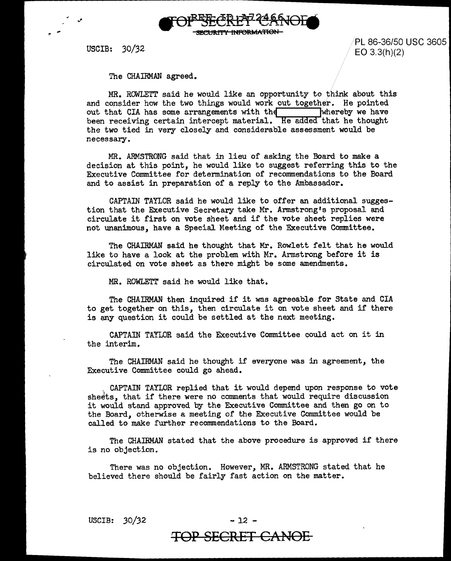

USCIB: 30/32

PL 86-36/50 USC 3605 EO 3.3(h)(2)

The CHAIRMAN agreed.

MR. ROWLETT said he would like an opportunity to think about this and consider how the two things would work out together. He pointed out that CIA has some arrangements with the whereby we have been receiving certain intercept material. He added that he thought the two tied in very closely and considerable assessment would be necessary.

MR. ARMSTRONG said that in lieu of asking the Board to make a decision at this point, he would like to suggest referring this to the Executive Committee for determination of recommendations to the Board and to assist in preparation of a reply to the Ambassador.

CAPTAIN TAYLOR said he would like to offer an additional suggestion that the Executive Secretary take Mr. Armstrong's proposal and circulate it first on vote sheet and if the vote sheet replies were not unanimous, have a Special Meeting of the Executive Committee.

The CHAIRMAN said he thought that Mr. Rowlett felt that he would like to have a look at the problem with Mr. Armstrong before it is circulated on vote sheet as there might be some amendments.

MR. ROWLETT said he would like that.

The CHAIRMAN then inquired if it was agreeable for State and CIA to get together on this, then circulate it on vote sheet and if there is any question it could be settled at the next meeting.

CAPTAIN TAYLOR said the Executive Committee could act on it in the interim.

The CHAIRMAN said he thought if everyone was in agreement, the Executive Committee could go ahead.

. CAPTAIN TAYLOR replied that it would depend upon response to vote sheets, that if there were no comments that would require discussion it would stand approved by the Executive Committee and then go on to the Board, otherwise a meeting of the Executive Committee would be called to make further recommendations to the Board.

The CHAIRMAN stated that the above procedure is approved if there is no objection.

There was no objection. However, MR. ARMSTRONG stated that he believed there should be fairly fast action on the matter.

USCIB: *30/32* - 12 -

## **TOP SECRET CANOE**